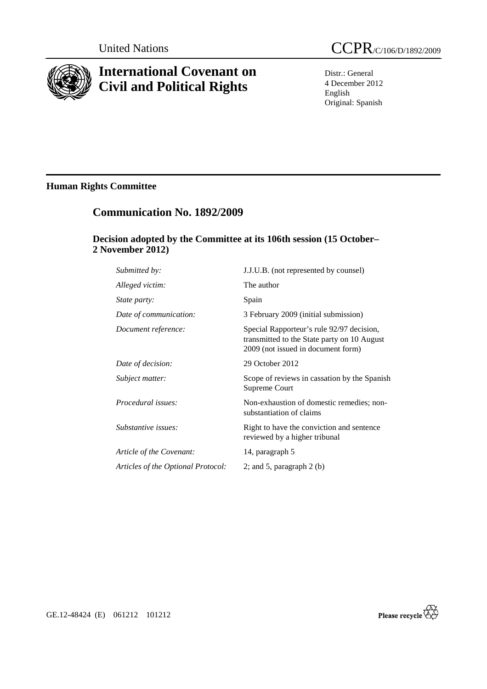

# **International Covenant on Civil and Political Rights**

Distr.: General 4 December 2012 English Original: Spanish

# **Human Rights Committee**

# **Communication No. 1892/2009**

### **Decision adopted by the Committee at its 106th session (15 October– 2 November 2012)**

| Submitted by:                      | J.J.U.B. (not represented by counsel)                                                                                          |
|------------------------------------|--------------------------------------------------------------------------------------------------------------------------------|
| Alleged victim:                    | The author                                                                                                                     |
| State party:                       | Spain                                                                                                                          |
| Date of communication:             | 3 February 2009 (initial submission)                                                                                           |
| Document reference:                | Special Rapporteur's rule 92/97 decision,<br>transmitted to the State party on 10 August<br>2009 (not issued in document form) |
| Date of decision:                  | 29 October 2012                                                                                                                |
| Subject matter:                    | Scope of reviews in cassation by the Spanish<br>Supreme Court                                                                  |
| Procedural issues:                 | Non-exhaustion of domestic remedies; non-<br>substantiation of claims                                                          |
| Substantive issues:                | Right to have the conviction and sentence<br>reviewed by a higher tribunal                                                     |
| Article of the Covenant:           | 14, paragraph 5                                                                                                                |
| Articles of the Optional Protocol: | 2; and 5, paragraph $2$ (b)                                                                                                    |



GE.12-48424 (E) 061212 101212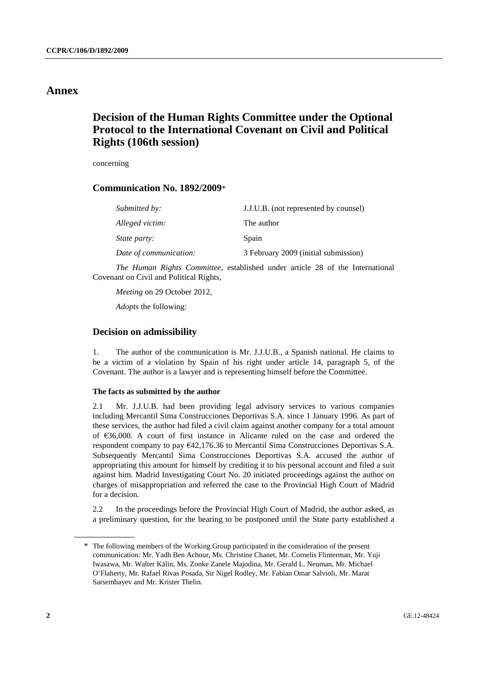### **Annex**

## **Decision of the Human Rights Committee under the Optional Protocol to the International Covenant on Civil and Political Rights (106th session)**

concerning

### **Communication No. 1892/2009**\*

| Submitted by:          | J.J.U.B. (not represented by counsel) |
|------------------------|---------------------------------------|
| Alleged victim:        | The author                            |
| <i>State party:</i>    | Spain                                 |
| Date of communication: | 3 February 2009 (initial submission)  |

*The Human Rights Committee*, established under article 28 of the International Covenant on Civil and Political Rights,

*Meeting* on 29 October 2012,

*Adopts* the following:

#### **Decision on admissibility**

1. The author of the communication is Mr. J.J.U.B., a Spanish national. He claims to be a victim of a violation by Spain of his right under article 14, paragraph 5, of the Covenant. The author is a lawyer and is representing himself before the Committee.

#### **The facts as submitted by the author**

2.1 Mr. J.J.U.B. had been providing legal advisory services to various companies including Mercantil Sima Construcciones Deportivas S.A. since 1 January 1996. As part of these services, the author had filed a civil claim against another company for a total amount of €36,000. A court of first instance in Alicante ruled on the case and ordered the respondent company to pay €42,176.36 to Mercantil Sima Construcciones Deportivas S.A. Subsequently Mercantil Sima Construcciones Deportivas S.A. accused the author of appropriating this amount for himself by crediting it to his personal account and filed a suit against him. Madrid Investigating Court No. 20 initiated proceedings against the author on charges of misappropriation and referred the case to the Provincial High Court of Madrid for a decision.

2.2 In the proceedings before the Provincial High Court of Madrid, the author asked, as a preliminary question, for the hearing to be postponed until the State party established a

<sup>\*</sup> The following members of the Working Group participated in the consideration of the present communication: Mr. Yadh Ben Achour, Ms. Christine Chanet, Mr. Cornelis Flinterman, Mr. Yuji Iwasawa, Mr. Walter Kälin, Ms. Zonke Zanele Majodina, Mr. Gerald L. Neuman, Mr. Michael O'Flaherty, Mr. Rafael Rivas Posada, Sir Nigel Rodley, Mr. Fabian Omar Salvioli, Mr. Marat Sarsembayev and Mr. Krister Thelin.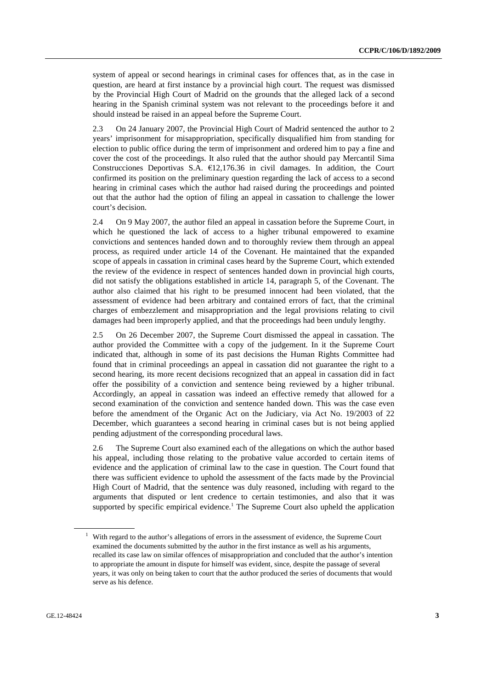system of appeal or second hearings in criminal cases for offences that, as in the case in question, are heard at first instance by a provincial high court. The request was dismissed by the Provincial High Court of Madrid on the grounds that the alleged lack of a second hearing in the Spanish criminal system was not relevant to the proceedings before it and should instead be raised in an appeal before the Supreme Court.

2.3 On 24 January 2007, the Provincial High Court of Madrid sentenced the author to 2 years' imprisonment for misappropriation, specifically disqualified him from standing for election to public office during the term of imprisonment and ordered him to pay a fine and cover the cost of the proceedings. It also ruled that the author should pay Mercantil Sima Construcciones Deportivas S.A.  $\epsilon$ 12,176.36 in civil damages. In addition, the Court confirmed its position on the preliminary question regarding the lack of access to a second hearing in criminal cases which the author had raised during the proceedings and pointed out that the author had the option of filing an appeal in cassation to challenge the lower court's decision.

2.4 On 9 May 2007, the author filed an appeal in cassation before the Supreme Court, in which he questioned the lack of access to a higher tribunal empowered to examine convictions and sentences handed down and to thoroughly review them through an appeal process, as required under article 14 of the Covenant. He maintained that the expanded scope of appeals in cassation in criminal cases heard by the Supreme Court, which extended the review of the evidence in respect of sentences handed down in provincial high courts, did not satisfy the obligations established in article 14, paragraph 5, of the Covenant. The author also claimed that his right to be presumed innocent had been violated, that the assessment of evidence had been arbitrary and contained errors of fact, that the criminal charges of embezzlement and misappropriation and the legal provisions relating to civil damages had been improperly applied, and that the proceedings had been unduly lengthy.

2.5 On 26 December 2007, the Supreme Court dismissed the appeal in cassation. The author provided the Committee with a copy of the judgement. In it the Supreme Court indicated that, although in some of its past decisions the Human Rights Committee had found that in criminal proceedings an appeal in cassation did not guarantee the right to a second hearing, its more recent decisions recognized that an appeal in cassation did in fact offer the possibility of a conviction and sentence being reviewed by a higher tribunal. Accordingly, an appeal in cassation was indeed an effective remedy that allowed for a second examination of the conviction and sentence handed down. This was the case even before the amendment of the Organic Act on the Judiciary, via Act No. 19/2003 of 22 December, which guarantees a second hearing in criminal cases but is not being applied pending adjustment of the corresponding procedural laws.

2.6 The Supreme Court also examined each of the allegations on which the author based his appeal, including those relating to the probative value accorded to certain items of evidence and the application of criminal law to the case in question. The Court found that there was sufficient evidence to uphold the assessment of the facts made by the Provincial High Court of Madrid, that the sentence was duly reasoned, including with regard to the arguments that disputed or lent credence to certain testimonies, and also that it was supported by specific empirical evidence.<sup>1</sup> The Supreme Court also upheld the application

<sup>&</sup>lt;sup>1</sup> With regard to the author's allegations of errors in the assessment of evidence, the Supreme Court examined the documents submitted by the author in the first instance as well as his arguments, recalled its case law on similar offences of misappropriation and concluded that the author's intention to appropriate the amount in dispute for himself was evident, since, despite the passage of several years, it was only on being taken to court that the author produced the series of documents that would serve as his defence.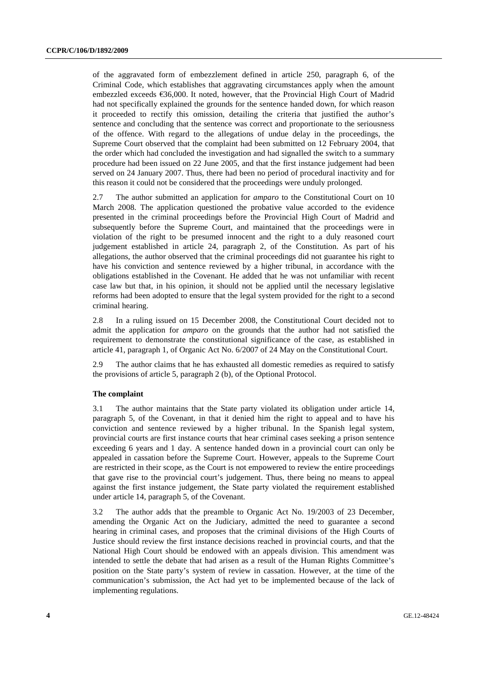of the aggravated form of embezzlement defined in article 250, paragraph 6, of the Criminal Code, which establishes that aggravating circumstances apply when the amount embezzled exceeds €36,000. It noted, however, that the Provincial High Court of Madrid had not specifically explained the grounds for the sentence handed down, for which reason it proceeded to rectify this omission, detailing the criteria that justified the author's sentence and concluding that the sentence was correct and proportionate to the seriousness of the offence. With regard to the allegations of undue delay in the proceedings, the Supreme Court observed that the complaint had been submitted on 12 February 2004, that the order which had concluded the investigation and had signalled the switch to a summary procedure had been issued on 22 June 2005, and that the first instance judgement had been served on 24 January 2007. Thus, there had been no period of procedural inactivity and for this reason it could not be considered that the proceedings were unduly prolonged.

2.7 The author submitted an application for *amparo* to the Constitutional Court on 10 March 2008. The application questioned the probative value accorded to the evidence presented in the criminal proceedings before the Provincial High Court of Madrid and subsequently before the Supreme Court, and maintained that the proceedings were in violation of the right to be presumed innocent and the right to a duly reasoned court judgement established in article 24, paragraph 2, of the Constitution. As part of his allegations, the author observed that the criminal proceedings did not guarantee his right to have his conviction and sentence reviewed by a higher tribunal, in accordance with the obligations established in the Covenant. He added that he was not unfamiliar with recent case law but that, in his opinion, it should not be applied until the necessary legislative reforms had been adopted to ensure that the legal system provided for the right to a second criminal hearing.

2.8 In a ruling issued on 15 December 2008, the Constitutional Court decided not to admit the application for *amparo* on the grounds that the author had not satisfied the requirement to demonstrate the constitutional significance of the case, as established in article 41, paragraph 1, of Organic Act No. 6/2007 of 24 May on the Constitutional Court.

2.9 The author claims that he has exhausted all domestic remedies as required to satisfy the provisions of article 5, paragraph 2 (b), of the Optional Protocol.

#### **The complaint**

3.1 The author maintains that the State party violated its obligation under article 14, paragraph 5, of the Covenant, in that it denied him the right to appeal and to have his conviction and sentence reviewed by a higher tribunal. In the Spanish legal system, provincial courts are first instance courts that hear criminal cases seeking a prison sentence exceeding 6 years and 1 day. A sentence handed down in a provincial court can only be appealed in cassation before the Supreme Court. However, appeals to the Supreme Court are restricted in their scope, as the Court is not empowered to review the entire proceedings that gave rise to the provincial court's judgement. Thus, there being no means to appeal against the first instance judgement, the State party violated the requirement established under article 14, paragraph 5, of the Covenant.

3.2 The author adds that the preamble to Organic Act No. 19/2003 of 23 December, amending the Organic Act on the Judiciary, admitted the need to guarantee a second hearing in criminal cases, and proposes that the criminal divisions of the High Courts of Justice should review the first instance decisions reached in provincial courts, and that the National High Court should be endowed with an appeals division. This amendment was intended to settle the debate that had arisen as a result of the Human Rights Committee's position on the State party's system of review in cassation. However, at the time of the communication's submission, the Act had yet to be implemented because of the lack of implementing regulations.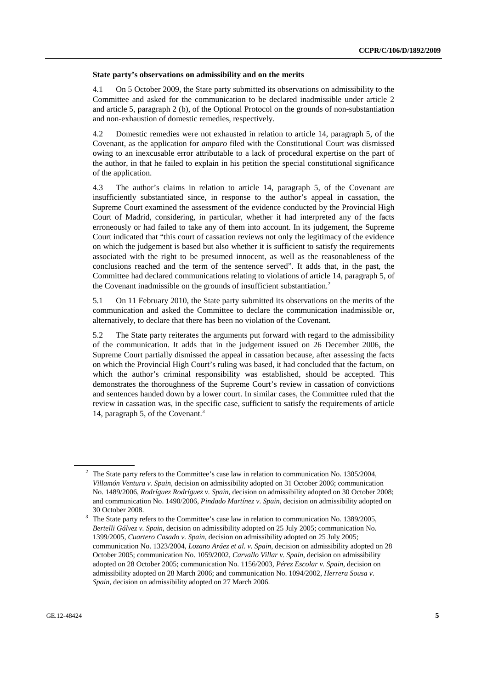#### **State party's observations on admissibility and on the merits**

4.1 On 5 October 2009, the State party submitted its observations on admissibility to the Committee and asked for the communication to be declared inadmissible under article 2 and article 5, paragraph 2 (b), of the Optional Protocol on the grounds of non-substantiation and non-exhaustion of domestic remedies, respectively.

4.2 Domestic remedies were not exhausted in relation to article 14, paragraph 5, of the Covenant, as the application for *amparo* filed with the Constitutional Court was dismissed owing to an inexcusable error attributable to a lack of procedural expertise on the part of the author, in that he failed to explain in his petition the special constitutional significance of the application.

4.3 The author's claims in relation to article 14, paragraph 5, of the Covenant are insufficiently substantiated since, in response to the author's appeal in cassation, the Supreme Court examined the assessment of the evidence conducted by the Provincial High Court of Madrid, considering, in particular, whether it had interpreted any of the facts erroneously or had failed to take any of them into account. In its judgement, the Supreme Court indicated that "this court of cassation reviews not only the legitimacy of the evidence on which the judgement is based but also whether it is sufficient to satisfy the requirements associated with the right to be presumed innocent, as well as the reasonableness of the conclusions reached and the term of the sentence served". It adds that, in the past, the Committee had declared communications relating to violations of article 14, paragraph 5, of the Covenant inadmissible on the grounds of insufficient substantiation.<sup>2</sup>

5.1 On 11 February 2010, the State party submitted its observations on the merits of the communication and asked the Committee to declare the communication inadmissible or, alternatively, to declare that there has been no violation of the Covenant.

5.2 The State party reiterates the arguments put forward with regard to the admissibility of the communication. It adds that in the judgement issued on 26 December 2006, the Supreme Court partially dismissed the appeal in cassation because, after assessing the facts on which the Provincial High Court's ruling was based, it had concluded that the factum, on which the author's criminal responsibility was established, should be accepted. This demonstrates the thoroughness of the Supreme Court's review in cassation of convictions and sentences handed down by a lower court. In similar cases, the Committee ruled that the review in cassation was, in the specific case, sufficient to satisfy the requirements of article 14, paragraph 5, of the Covenant.<sup>3</sup>

<sup>2</sup> The State party refers to the Committee's case law in relation to communication No. 1305/2004, *Villamón Ventura v. Spain*, decision on admissibility adopted on 31 October 2006; communication No. 1489/2006, *Rodríguez Rodríguez v. Spain*, decision on admissibility adopted on 30 October 2008; and communication No. 1490/2006, *Pindado Martínez v*. *Spain*, decision on admissibility adopted on 30 October 2008. 3

The State party refers to the Committee's case law in relation to communication No. 1389/2005, *Bertelli Gálvez v. Spain*, decision on admissibility adopted on 25 July 2005; communication No. 1399/2005, *Cuartero Casado v. Spain*, decision on admissibility adopted on 25 July 2005; communication No. 1323/2004, *Lozano Aráez et al. v. Spain*, decision on admissibility adopted on 28 October 2005; communication No. 1059/2002, *Carvallo Villar v. Spain,* decision on admissibility adopted on 28 October 2005; communication No. 1156/2003, *Pérez Escolar v. Spain*, decision on admissibility adopted on 28 March 2006; and communication No. 1094/2002, *Herrera Sousa v. Spain*, decision on admissibility adopted on 27 March 2006.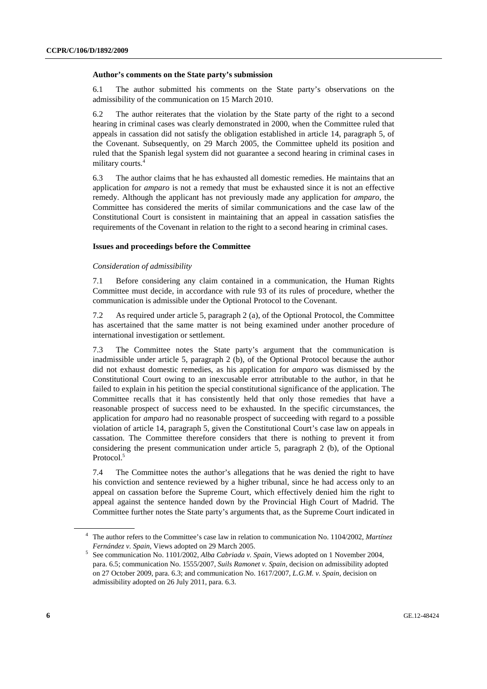#### **Author's comments on the State party's submission**

6.1 The author submitted his comments on the State party's observations on the admissibility of the communication on 15 March 2010.

6.2 The author reiterates that the violation by the State party of the right to a second hearing in criminal cases was clearly demonstrated in 2000, when the Committee ruled that appeals in cassation did not satisfy the obligation established in article 14, paragraph 5, of the Covenant. Subsequently, on 29 March 2005, the Committee upheld its position and ruled that the Spanish legal system did not guarantee a second hearing in criminal cases in military courts.4

6.3 The author claims that he has exhausted all domestic remedies. He maintains that an application for *amparo* is not a remedy that must be exhausted since it is not an effective remedy. Although the applicant has not previously made any application for *amparo*, the Committee has considered the merits of similar communications and the case law of the Constitutional Court is consistent in maintaining that an appeal in cassation satisfies the requirements of the Covenant in relation to the right to a second hearing in criminal cases.

#### **Issues and proceedings before the Committee**

#### *Consideration of admissibility*

7.1 Before considering any claim contained in a communication, the Human Rights Committee must decide, in accordance with rule 93 of its rules of procedure, whether the communication is admissible under the Optional Protocol to the Covenant.

7.2 As required under article 5, paragraph 2 (a), of the Optional Protocol, the Committee has ascertained that the same matter is not being examined under another procedure of international investigation or settlement.

7.3 The Committee notes the State party's argument that the communication is inadmissible under article 5, paragraph 2 (b), of the Optional Protocol because the author did not exhaust domestic remedies, as his application for *amparo* was dismissed by the Constitutional Court owing to an inexcusable error attributable to the author, in that he failed to explain in his petition the special constitutional significance of the application. The Committee recalls that it has consistently held that only those remedies that have a reasonable prospect of success need to be exhausted. In the specific circumstances, the application for *amparo* had no reasonable prospect of succeeding with regard to a possible violation of article 14, paragraph 5, given the Constitutional Court's case law on appeals in cassation. The Committee therefore considers that there is nothing to prevent it from considering the present communication under article 5, paragraph 2 (b), of the Optional Protocol.<sup>5</sup>

7.4 The Committee notes the author's allegations that he was denied the right to have his conviction and sentence reviewed by a higher tribunal, since he had access only to an appeal on cassation before the Supreme Court, which effectively denied him the right to appeal against the sentence handed down by the Provincial High Court of Madrid. The Committee further notes the State party's arguments that, as the Supreme Court indicated in

<sup>4</sup> The author refers to the Committee's case law in relation to communication No. 1104/2002, *Martínez Fernández v. Spain, Views adopted on 29 March 2005.* 

<sup>&</sup>lt;sup>5</sup> See communication No. 1101/2002, *Alba Cabriada v. Spain*, Views adopted on 1 November 2004, para. 6.5; communication No. 1555/2007, *Suils Ramonet v. Spain*, decision on admissibility adopted on 27 October 2009, para. 6.3; and communication No. 1617/2007, *L.G.M. v. Spain*, decision on admissibility adopted on 26 July 2011, para. 6.3.